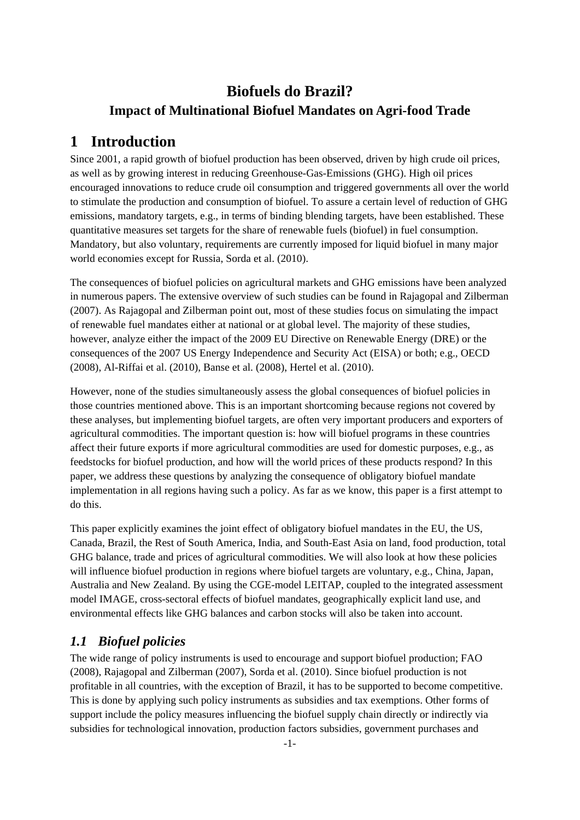# **Biofuels do Brazil? Impact of Multinational Biofuel Mandates on Agri-food Trade**

# **1 Introduction**

Since 2001, a rapid growth of biofuel production has been observed, driven by high crude oil prices, as well as by growing interest in reducing Greenhouse-Gas-Emissions (GHG). High oil prices encouraged innovations to reduce crude oil consumption and triggered governments all over the world to stimulate the production and consumption of biofuel. To assure a certain level of reduction of GHG emissions, mandatory targets, e.g., in terms of binding blending targets, have been established. These quantitative measures set targets for the share of renewable fuels (biofuel) in fuel consumption. Mandatory, but also voluntary, requirements are currently imposed for liquid biofuel in many major world economies except for Russia, Sorda et al. (2010).

The consequences of biofuel policies on agricultural markets and GHG emissions have been analyzed in numerous papers. The extensive overview of such studies can be found in Rajagopal and Zilberman (2007). As Rajagopal and Zilberman point out, most of these studies focus on simulating the impact of renewable fuel mandates either at national or at global level. The majority of these studies, however, analyze either the impact of the 2009 EU Directive on Renewable Energy (DRE) or the consequences of the 2007 US Energy Independence and Security Act (EISA) or both; e.g., OECD (2008), Al-Riffai et al. (2010), Banse et al. (2008), Hertel et al. (2010).

However, none of the studies simultaneously assess the global consequences of biofuel policies in those countries mentioned above. This is an important shortcoming because regions not covered by these analyses, but implementing biofuel targets, are often very important producers and exporters of agricultural commodities. The important question is: how will biofuel programs in these countries affect their future exports if more agricultural commodities are used for domestic purposes, e.g., as feedstocks for biofuel production, and how will the world prices of these products respond? In this paper, we address these questions by analyzing the consequence of obligatory biofuel mandate implementation in all regions having such a policy. As far as we know, this paper is a first attempt to do this.

This paper explicitly examines the joint effect of obligatory biofuel mandates in the EU, the US, Canada, Brazil, the Rest of South America, India, and South-East Asia on land, food production, total GHG balance, trade and prices of agricultural commodities. We will also look at how these policies will influence biofuel production in regions where biofuel targets are voluntary, e.g., China, Japan, Australia and New Zealand. By using the CGE-model LEITAP, coupled to the integrated assessment model IMAGE, cross-sectoral effects of biofuel mandates, geographically explicit land use, and environmental effects like GHG balances and carbon stocks will also be taken into account.

## *1.1 Biofuel policies*

The wide range of policy instruments is used to encourage and support biofuel production; FAO (2008), Rajagopal and Zilberman (2007), Sorda et al. (2010). Since biofuel production is not profitable in all countries, with the exception of Brazil, it has to be supported to become competitive. This is done by applying such policy instruments as subsidies and tax exemptions. Other forms of support include the policy measures influencing the biofuel supply chain directly or indirectly via subsidies for technological innovation, production factors subsidies, government purchases and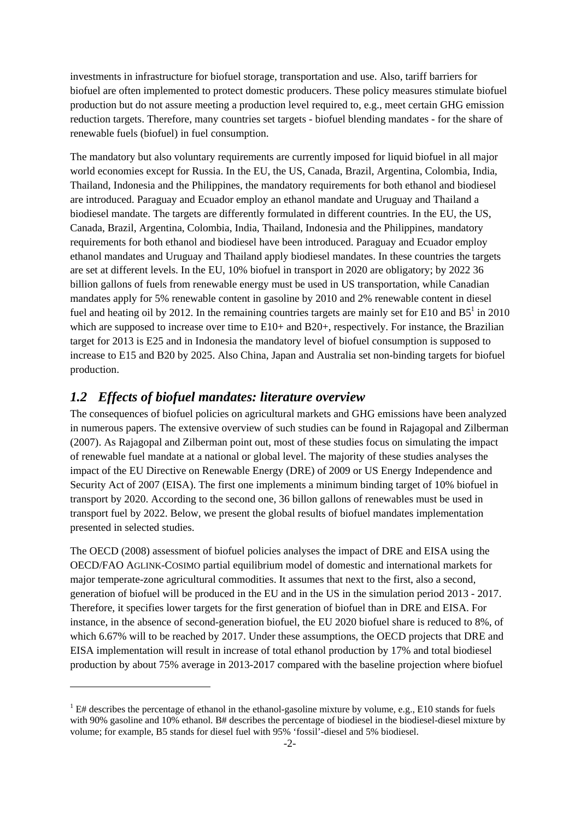investments in infrastructure for biofuel storage, transportation and use. Also, tariff barriers for biofuel are often implemented to protect domestic producers. These policy measures stimulate biofuel production but do not assure meeting a production level required to, e.g., meet certain GHG emission reduction targets. Therefore, many countries set targets - biofuel blending mandates - for the share of renewable fuels (biofuel) in fuel consumption.

The mandatory but also voluntary requirements are currently imposed for liquid biofuel in all major world economies except for Russia. In the EU, the US, Canada, Brazil, Argentina, Colombia, India, Thailand, Indonesia and the Philippines, the mandatory requirements for both ethanol and biodiesel are introduced. Paraguay and Ecuador employ an ethanol mandate and Uruguay and Thailand a biodiesel mandate. The targets are differently formulated in different countries. In the EU, the US, Canada, Brazil, Argentina, Colombia, India, Thailand, Indonesia and the Philippines, mandatory requirements for both ethanol and biodiesel have been introduced. Paraguay and Ecuador employ ethanol mandates and Uruguay and Thailand apply biodiesel mandates. In these countries the targets are set at different levels. In the EU, 10% biofuel in transport in 2020 are obligatory; by 2022 36 billion gallons of fuels from renewable energy must be used in US transportation, while Canadian mandates apply for 5% renewable content in gasoline by 2010 and 2% renewable content in diesel fuel and heating oil by 2012. In the remaining countries targets are mainly set for E10 and  $B5^1$  in 2010 which are supposed to increase over time to  $E10+$  and  $B20+$ , respectively. For instance, the Brazilian target for 2013 is E25 and in Indonesia the mandatory level of biofuel consumption is supposed to increase to E15 and B20 by 2025. Also China, Japan and Australia set non-binding targets for biofuel production.

### *1.2 Effects of biofuel mandates: literature overview*

-

The consequences of biofuel policies on agricultural markets and GHG emissions have been analyzed in numerous papers. The extensive overview of such studies can be found in Rajagopal and Zilberman (2007). As Rajagopal and Zilberman point out, most of these studies focus on simulating the impact of renewable fuel mandate at a national or global level. The majority of these studies analyses the impact of the EU Directive on Renewable Energy (DRE) of 2009 or US Energy Independence and Security Act of 2007 (EISA). The first one implements a minimum binding target of 10% biofuel in transport by 2020. According to the second one, 36 billon gallons of renewables must be used in transport fuel by 2022. Below, we present the global results of biofuel mandates implementation presented in selected studies.

The OECD (2008) assessment of biofuel policies analyses the impact of DRE and EISA using the OECD/FAO AGLINK-COSIMO partial equilibrium model of domestic and international markets for major temperate-zone agricultural commodities. It assumes that next to the first, also a second, generation of biofuel will be produced in the EU and in the US in the simulation period 2013 - 2017. Therefore, it specifies lower targets for the first generation of biofuel than in DRE and EISA. For instance, in the absence of second-generation biofuel, the EU 2020 biofuel share is reduced to 8%, of which 6.67% will to be reached by 2017. Under these assumptions, the OECD projects that DRE and EISA implementation will result in increase of total ethanol production by 17% and total biodiesel production by about 75% average in 2013-2017 compared with the baseline projection where biofuel

 $1$  E# describes the percentage of ethanol in the ethanol-gasoline mixture by volume, e.g., E10 stands for fuels with 90% gasoline and 10% ethanol. B# describes the percentage of biodiesel in the biodiesel-diesel mixture by volume; for example, B5 stands for diesel fuel with 95% 'fossil'-diesel and 5% biodiesel.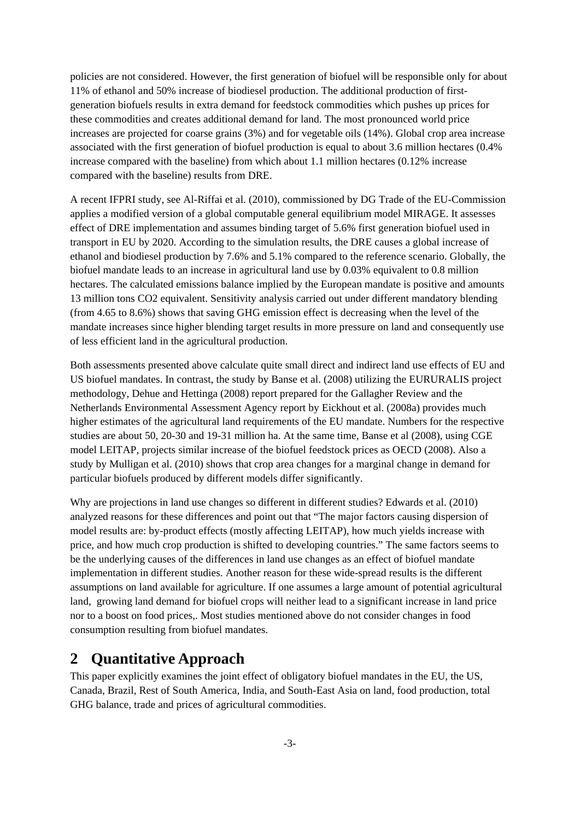policies are not considered. However, the first generation of biofuel will be responsible only for about 11% of ethanol and 50% increase of biodiesel production. The additional production of firstgeneration biofuels results in extra demand for feedstock commodities which pushes up prices for these commodities and creates additional demand for land. The most pronounced world price increases are projected for coarse grains (3%) and for vegetable oils (14%). Global crop area increase associated with the first generation of biofuel production is equal to about 3.6 million hectares (0.4% increase compared with the baseline) from which about 1.1 million hectares (0.12% increase compared with the baseline) results from DRE.

A recent IFPRI study, see Al-Riffai et al. (2010), commissioned by DG Trade of the EU-Commission applies a modified version of a global computable general equilibrium model MIRAGE. It assesses effect of DRE implementation and assumes binding target of 5.6% first generation biofuel used in transport in EU by 2020. According to the simulation results, the DRE causes a global increase of ethanol and biodiesel production by 7.6% and 5.1% compared to the reference scenario. Globally, the biofuel mandate leads to an increase in agricultural land use by 0.03% equivalent to 0.8 million hectares. The calculated emissions balance implied by the European mandate is positive and amounts 13 million tons CO2 equivalent. Sensitivity analysis carried out under different mandatory blending (from 4.65 to 8.6%) shows that saving GHG emission effect is decreasing when the level of the mandate increases since higher blending target results in more pressure on land and consequently use of less efficient land in the agricultural production.

Both assessments presented above calculate quite small direct and indirect land use effects of EU and US biofuel mandates. In contrast, the study by Banse et al. (2008) utilizing the EURURALIS project methodology, Dehue and Hettinga (2008) report prepared for the Gallagher Review and the Netherlands Environmental Assessment Agency report by Eickhout et al. (2008a) provides much higher estimates of the agricultural land requirements of the EU mandate. Numbers for the respective studies are about 50, 20-30 and 19-31 million ha. At the same time, Banse et al (2008), using CGE model LEITAP, projects similar increase of the biofuel feedstock prices as OECD (2008). Also a study by Mulligan et al. (2010) shows that crop area changes for a marginal change in demand for particular biofuels produced by different models differ significantly.

Why are projections in land use changes so different in different studies? Edwards et al. (2010) analyzed reasons for these differences and point out that "The major factors causing dispersion of model results are: by-product effects (mostly affecting LEITAP), how much yields increase with price, and how much crop production is shifted to developing countries." The same factors seems to be the underlying causes of the differences in land use changes as an effect of biofuel mandate implementation in different studies. Another reason for these wide-spread results is the different assumptions on land available for agriculture. If one assumes a large amount of potential agricultural land, growing land demand for biofuel crops will neither lead to a significant increase in land price nor to a boost on food prices,. Most studies mentioned above do not consider changes in food consumption resulting from biofuel mandates.

# **2 Quantitative Approach**

This paper explicitly examines the joint effect of obligatory biofuel mandates in the EU, the US, Canada, Brazil, Rest of South America, India, and South-East Asia on land, food production, total GHG balance, trade and prices of agricultural commodities.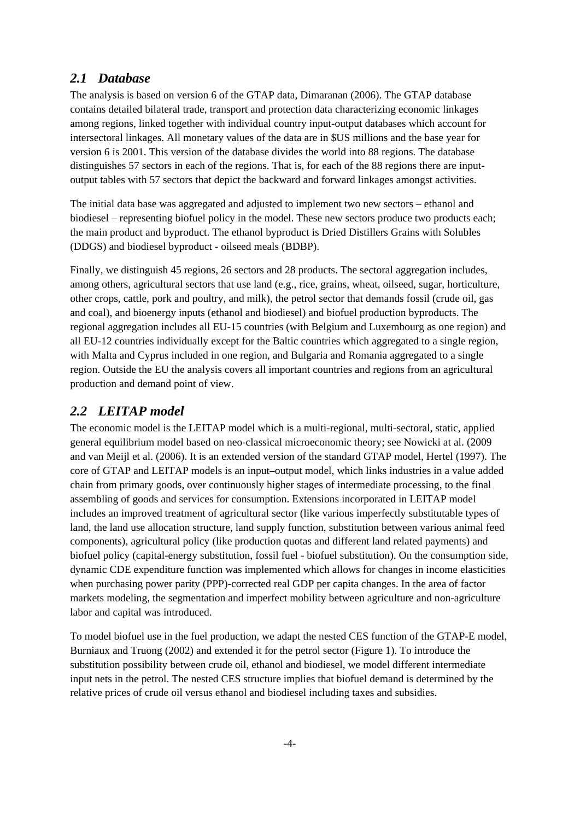### *2.1 Database*

The analysis is based on version 6 of the GTAP data, Dimaranan (2006). The GTAP database contains detailed bilateral trade, transport and protection data characterizing economic linkages among regions, linked together with individual country input-output databases which account for intersectoral linkages. All monetary values of the data are in \$US millions and the base year for version 6 is 2001. This version of the database divides the world into 88 regions. The database distinguishes 57 sectors in each of the regions. That is, for each of the 88 regions there are inputoutput tables with 57 sectors that depict the backward and forward linkages amongst activities.

The initial data base was aggregated and adjusted to implement two new sectors – ethanol and biodiesel – representing biofuel policy in the model. These new sectors produce two products each; the main product and byproduct. The ethanol byproduct is Dried Distillers Grains with Solubles (DDGS) and biodiesel byproduct - oilseed meals (BDBP).

Finally, we distinguish 45 regions, 26 sectors and 28 products. The sectoral aggregation includes, among others, agricultural sectors that use land (e.g., rice, grains, wheat, oilseed, sugar, horticulture, other crops, cattle, pork and poultry, and milk), the petrol sector that demands fossil (crude oil, gas and coal), and bioenergy inputs (ethanol and biodiesel) and biofuel production byproducts. The regional aggregation includes all EU-15 countries (with Belgium and Luxembourg as one region) and all EU-12 countries individually except for the Baltic countries which aggregated to a single region, with Malta and Cyprus included in one region, and Bulgaria and Romania aggregated to a single region. Outside the EU the analysis covers all important countries and regions from an agricultural production and demand point of view.

## *2.2 LEITAP model*

The economic model is the LEITAP model which is a multi-regional, multi-sectoral, static, applied general equilibrium model based on neo-classical microeconomic theory; see Nowicki at al. (2009 and van Meijl et al. (2006). It is an extended version of the standard GTAP model, Hertel (1997). The core of GTAP and LEITAP models is an input–output model, which links industries in a value added chain from primary goods, over continuously higher stages of intermediate processing, to the final assembling of goods and services for consumption. Extensions incorporated in LEITAP model includes an improved treatment of agricultural sector (like various imperfectly substitutable types of land, the land use allocation structure, land supply function, substitution between various animal feed components), agricultural policy (like production quotas and different land related payments) and biofuel policy (capital-energy substitution, fossil fuel - biofuel substitution). On the consumption side, dynamic CDE expenditure function was implemented which allows for changes in income elasticities when purchasing power parity (PPP)-corrected real GDP per capita changes. In the area of factor markets modeling, the segmentation and imperfect mobility between agriculture and non-agriculture labor and capital was introduced.

To model biofuel use in the fuel production, we adapt the nested CES function of the GTAP-E model, Burniaux and Truong (2002) and extended it for the petrol sector (Figure 1). To introduce the substitution possibility between crude oil, ethanol and biodiesel, we model different intermediate input nets in the petrol. The nested CES structure implies that biofuel demand is determined by the relative prices of crude oil versus ethanol and biodiesel including taxes and subsidies.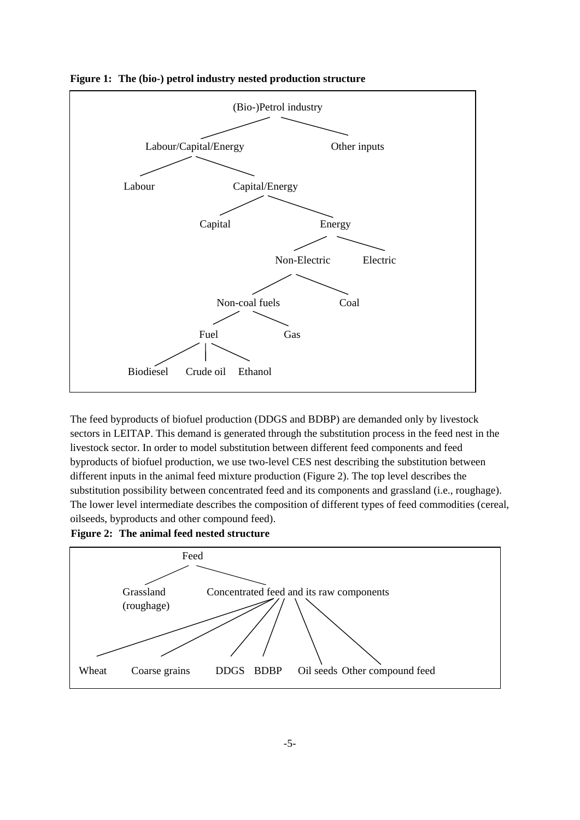

**Figure 1: The (bio-) petrol industry nested production structure**

The feed byproducts of biofuel production (DDGS and BDBP) are demanded only by livestock sectors in LEITAP. This demand is generated through the substitution process in the feed nest in the livestock sector. In order to model substitution between different feed components and feed byproducts of biofuel production, we use two-level CES nest describing the substitution between different inputs in the animal feed mixture production (Figure 2). The top level describes the substitution possibility between concentrated feed and its components and grassland (i.e., roughage). The lower level intermediate describes the composition of different types of feed commodities (cereal, oilseeds, byproducts and other compound feed).

**Figure 2: The animal feed nested structure** 

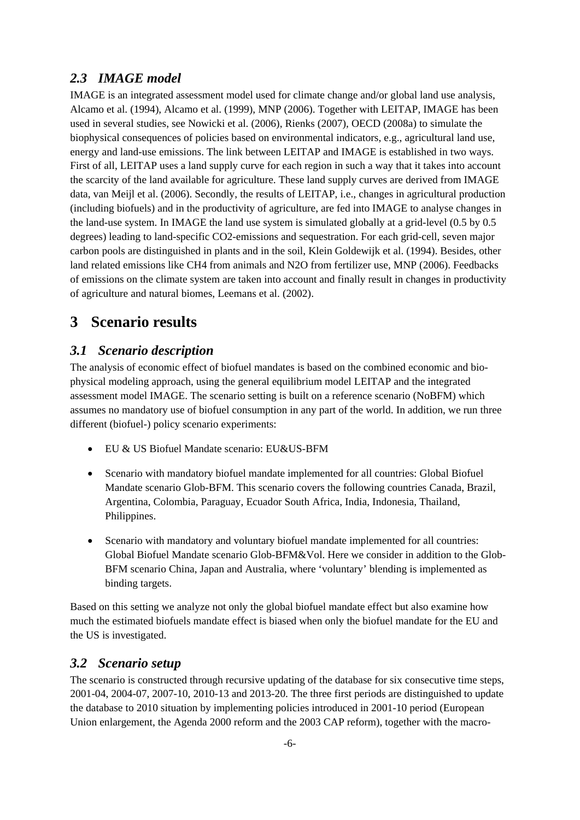### *2.3 IMAGE model*

IMAGE is an integrated assessment model used for climate change and/or global land use analysis, Alcamo et al. (1994), Alcamo et al. (1999), MNP (2006). Together with LEITAP, IMAGE has been used in several studies, see Nowicki et al. (2006), Rienks (2007), OECD (2008a) to simulate the biophysical consequences of policies based on environmental indicators, e.g., agricultural land use, energy and land-use emissions. The link between LEITAP and IMAGE is established in two ways. First of all, LEITAP uses a land supply curve for each region in such a way that it takes into account the scarcity of the land available for agriculture. These land supply curves are derived from IMAGE data, van Meijl et al. (2006). Secondly, the results of LEITAP, i.e., changes in agricultural production (including biofuels) and in the productivity of agriculture, are fed into IMAGE to analyse changes in the land-use system. In IMAGE the land use system is simulated globally at a grid-level (0.5 by 0.5 degrees) leading to land-specific CO2-emissions and sequestration. For each grid-cell, seven major carbon pools are distinguished in plants and in the soil, Klein Goldewijk et al. (1994). Besides, other land related emissions like CH4 from animals and N2O from fertilizer use, MNP (2006). Feedbacks of emissions on the climate system are taken into account and finally result in changes in productivity of agriculture and natural biomes, Leemans et al. (2002).

## **3 Scenario results**

### *3.1 Scenario description*

The analysis of economic effect of biofuel mandates is based on the combined economic and biophysical modeling approach, using the general equilibrium model LEITAP and the integrated assessment model IMAGE. The scenario setting is built on a reference scenario (NoBFM) which assumes no mandatory use of biofuel consumption in any part of the world. In addition, we run three different (biofuel-) policy scenario experiments:

- EU & US Biofuel Mandate scenario: EU&US-BFM
- Scenario with mandatory biofuel mandate implemented for all countries: Global Biofuel Mandate scenario Glob-BFM. This scenario covers the following countries Canada, Brazil, Argentina, Colombia, Paraguay, Ecuador South Africa, India, Indonesia, Thailand, Philippines.
- Scenario with mandatory and voluntary biofuel mandate implemented for all countries: Global Biofuel Mandate scenario Glob-BFM&Vol. Here we consider in addition to the Glob-BFM scenario China, Japan and Australia, where 'voluntary' blending is implemented as binding targets.

Based on this setting we analyze not only the global biofuel mandate effect but also examine how much the estimated biofuels mandate effect is biased when only the biofuel mandate for the EU and the US is investigated.

### *3.2 Scenario setup*

The scenario is constructed through recursive updating of the database for six consecutive time steps, 2001-04, 2004-07, 2007-10, 2010-13 and 2013-20. The three first periods are distinguished to update the database to 2010 situation by implementing policies introduced in 2001-10 period (European Union enlargement, the Agenda 2000 reform and the 2003 CAP reform), together with the macro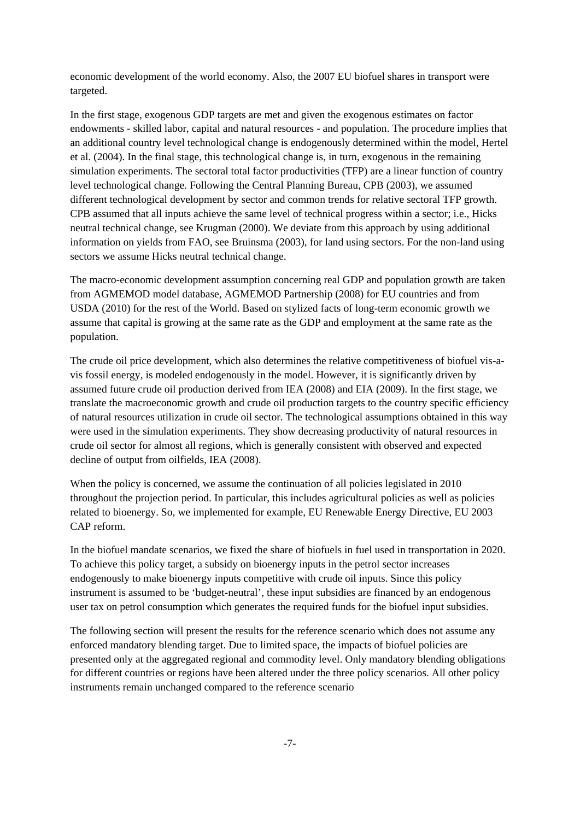economic development of the world economy. Also, the 2007 EU biofuel shares in transport were targeted.

In the first stage, exogenous GDP targets are met and given the exogenous estimates on factor endowments - skilled labor, capital and natural resources - and population. The procedure implies that an additional country level technological change is endogenously determined within the model, Hertel et al. (2004). In the final stage, this technological change is, in turn, exogenous in the remaining simulation experiments. The sectoral total factor productivities (TFP) are a linear function of country level technological change. Following the Central Planning Bureau, CPB (2003), we assumed different technological development by sector and common trends for relative sectoral TFP growth. CPB assumed that all inputs achieve the same level of technical progress within a sector; i.e., Hicks neutral technical change, see Krugman (2000). We deviate from this approach by using additional information on yields from FAO, see Bruinsma (2003), for land using sectors. For the non-land using sectors we assume Hicks neutral technical change.

The macro-economic development assumption concerning real GDP and population growth are taken from AGMEMOD model database, AGMEMOD Partnership (2008) for EU countries and from USDA (2010) for the rest of the World. Based on stylized facts of long-term economic growth we assume that capital is growing at the same rate as the GDP and employment at the same rate as the population.

The crude oil price development, which also determines the relative competitiveness of biofuel vis-avis fossil energy, is modeled endogenously in the model. However, it is significantly driven by assumed future crude oil production derived from IEA (2008) and EIA (2009). In the first stage, we translate the macroeconomic growth and crude oil production targets to the country specific efficiency of natural resources utilization in crude oil sector. The technological assumptions obtained in this way were used in the simulation experiments. They show decreasing productivity of natural resources in crude oil sector for almost all regions, which is generally consistent with observed and expected decline of output from oilfields, IEA (2008).

When the policy is concerned, we assume the continuation of all policies legislated in 2010 throughout the projection period. In particular, this includes agricultural policies as well as policies related to bioenergy. So, we implemented for example, EU Renewable Energy Directive, EU 2003 CAP reform.

In the biofuel mandate scenarios, we fixed the share of biofuels in fuel used in transportation in 2020. To achieve this policy target, a subsidy on bioenergy inputs in the petrol sector increases endogenously to make bioenergy inputs competitive with crude oil inputs. Since this policy instrument is assumed to be 'budget-neutral', these input subsidies are financed by an endogenous user tax on petrol consumption which generates the required funds for the biofuel input subsidies.

The following section will present the results for the reference scenario which does not assume any enforced mandatory blending target. Due to limited space, the impacts of biofuel policies are presented only at the aggregated regional and commodity level. Only mandatory blending obligations for different countries or regions have been altered under the three policy scenarios. All other policy instruments remain unchanged compared to the reference scenario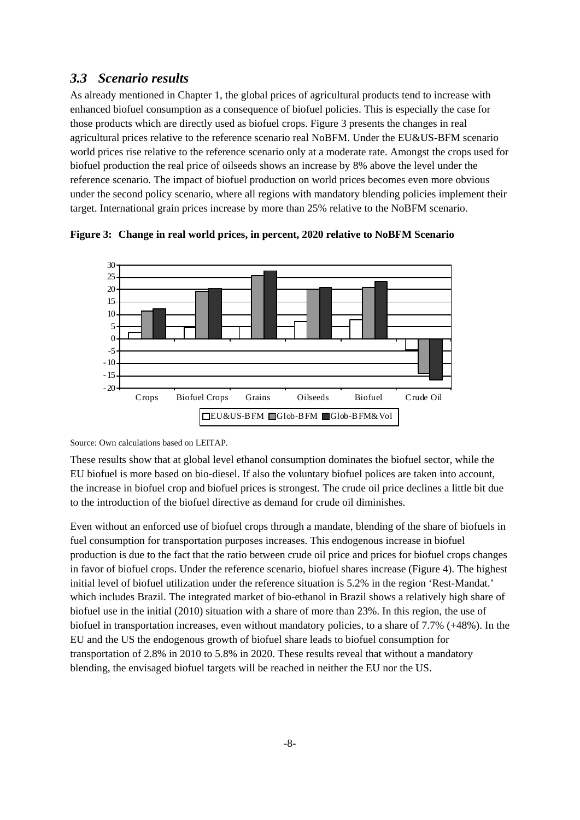### *3.3 Scenario results*

As already mentioned in Chapter 1, the global prices of agricultural products tend to increase with enhanced biofuel consumption as a consequence of biofuel policies. This is especially the case for those products which are directly used as biofuel crops. Figure 3 presents the changes in real agricultural prices relative to the reference scenario real NoBFM. Under the EU&US-BFM scenario world prices rise relative to the reference scenario only at a moderate rate. Amongst the crops used for biofuel production the real price of oilseeds shows an increase by 8% above the level under the reference scenario. The impact of biofuel production on world prices becomes even more obvious under the second policy scenario, where all regions with mandatory blending policies implement their target. International grain prices increase by more than 25% relative to the NoBFM scenario.



**Figure 3: Change in real world prices, in percent, 2020 relative to NoBFM Scenario** 

Source: Own calculations based on LEITAP.

These results show that at global level ethanol consumption dominates the biofuel sector, while the EU biofuel is more based on bio-diesel. If also the voluntary biofuel polices are taken into account, the increase in biofuel crop and biofuel prices is strongest. The crude oil price declines a little bit due to the introduction of the biofuel directive as demand for crude oil diminishes.

Even without an enforced use of biofuel crops through a mandate, blending of the share of biofuels in fuel consumption for transportation purposes increases. This endogenous increase in biofuel production is due to the fact that the ratio between crude oil price and prices for biofuel crops changes in favor of biofuel crops. Under the reference scenario, biofuel shares increase (Figure 4). The highest initial level of biofuel utilization under the reference situation is 5.2% in the region 'Rest-Mandat.' which includes Brazil. The integrated market of bio-ethanol in Brazil shows a relatively high share of biofuel use in the initial (2010) situation with a share of more than 23%. In this region, the use of biofuel in transportation increases, even without mandatory policies, to a share of 7.7% (+48%). In the EU and the US the endogenous growth of biofuel share leads to biofuel consumption for transportation of 2.8% in 2010 to 5.8% in 2020. These results reveal that without a mandatory blending, the envisaged biofuel targets will be reached in neither the EU nor the US.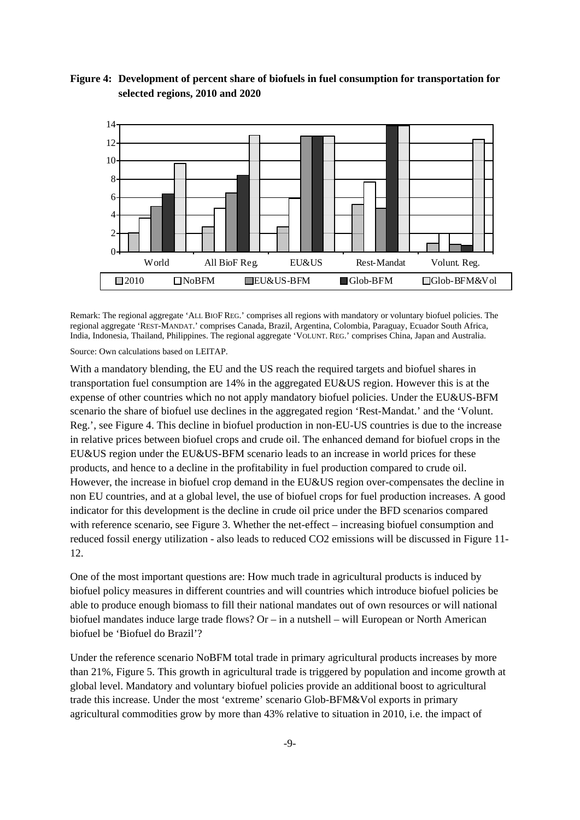



Remark: The regional aggregate 'ALL BIOF REG.' comprises all regions with mandatory or voluntary biofuel policies. The regional aggregate 'REST-MANDAT.' comprises Canada, Brazil, Argentina, Colombia, Paraguay, Ecuador South Africa, India, Indonesia, Thailand, Philippines. The regional aggregate 'VOLUNT. REG.' comprises China, Japan and Australia.

Source: Own calculations based on LEITAP.

With a mandatory blending, the EU and the US reach the required targets and biofuel shares in transportation fuel consumption are 14% in the aggregated EU&US region. However this is at the expense of other countries which no not apply mandatory biofuel policies. Under the EU&US-BFM scenario the share of biofuel use declines in the aggregated region 'Rest-Mandat.' and the 'Volunt. Reg.', see Figure 4. This decline in biofuel production in non-EU-US countries is due to the increase in relative prices between biofuel crops and crude oil. The enhanced demand for biofuel crops in the EU&US region under the EU&US-BFM scenario leads to an increase in world prices for these products, and hence to a decline in the profitability in fuel production compared to crude oil. However, the increase in biofuel crop demand in the EU&US region over-compensates the decline in non EU countries, and at a global level, the use of biofuel crops for fuel production increases. A good indicator for this development is the decline in crude oil price under the BFD scenarios compared with reference scenario, see Figure 3. Whether the net-effect – increasing biofuel consumption and reduced fossil energy utilization - also leads to reduced CO2 emissions will be discussed in Figure 11- 12.

One of the most important questions are: How much trade in agricultural products is induced by biofuel policy measures in different countries and will countries which introduce biofuel policies be able to produce enough biomass to fill their national mandates out of own resources or will national biofuel mandates induce large trade flows? Or – in a nutshell – will European or North American biofuel be 'Biofuel do Brazil'?

Under the reference scenario NoBFM total trade in primary agricultural products increases by more than 21%, Figure 5. This growth in agricultural trade is triggered by population and income growth at global level. Mandatory and voluntary biofuel policies provide an additional boost to agricultural trade this increase. Under the most 'extreme' scenario Glob-BFM&Vol exports in primary agricultural commodities grow by more than 43% relative to situation in 2010, i.e. the impact of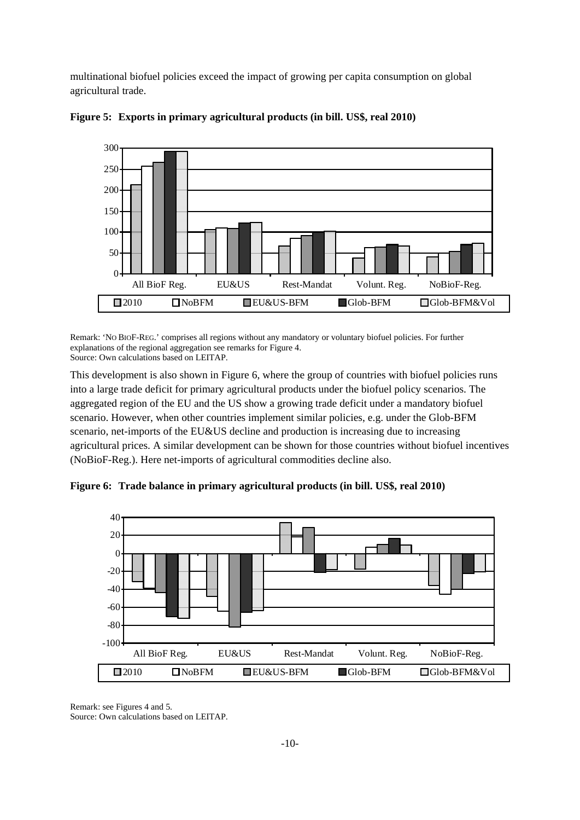multinational biofuel policies exceed the impact of growing per capita consumption on global agricultural trade.





Remark: 'NO BIOF-REG.' comprises all regions without any mandatory or voluntary biofuel policies. For further explanations of the regional aggregation see remarks for Figure 4. Source: Own calculations based on LEITAP.

This development is also shown in Figure 6, where the group of countries with biofuel policies runs into a large trade deficit for primary agricultural products under the biofuel policy scenarios. The aggregated region of the EU and the US show a growing trade deficit under a mandatory biofuel scenario. However, when other countries implement similar policies, e.g. under the Glob-BFM scenario, net-imports of the EU&US decline and production is increasing due to increasing agricultural prices. A similar development can be shown for those countries without biofuel incentives (NoBioF-Reg.). Here net-imports of agricultural commodities decline also.





Remark: see Figures 4 and 5. Source: Own calculations based on LEITAP.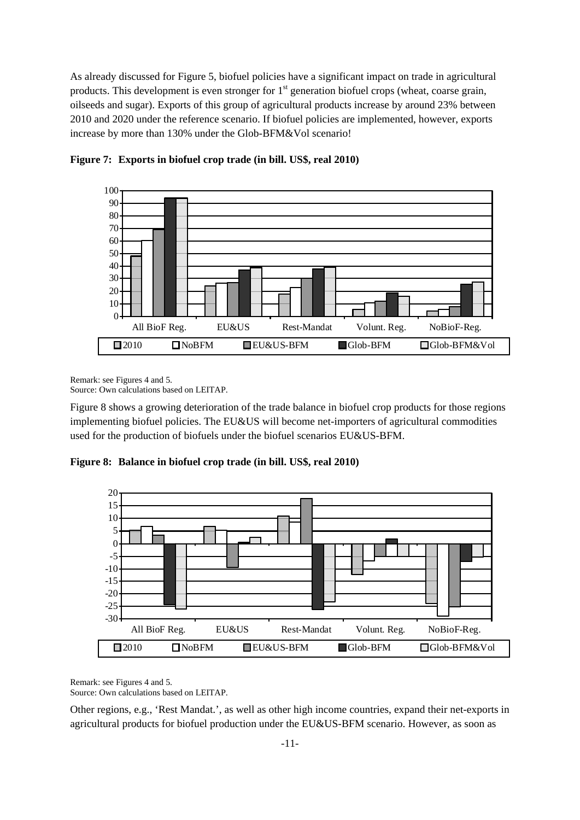As already discussed for Figure 5, biofuel policies have a significant impact on trade in agricultural products. This development is even stronger for 1<sup>st</sup> generation biofuel crops (wheat, coarse grain, oilseeds and sugar). Exports of this group of agricultural products increase by around 23% between 2010 and 2020 under the reference scenario. If biofuel policies are implemented, however, exports increase by more than 130% under the Glob-BFM&Vol scenario!



**Figure 7: Exports in biofuel crop trade (in bill. US\$, real 2010)** 

Remark: see Figures 4 and 5.

Source: Own calculations based on LEITAP.

Figure 8 shows a growing deterioration of the trade balance in biofuel crop products for those regions implementing biofuel policies. The EU&US will become net-importers of agricultural commodities used for the production of biofuels under the biofuel scenarios EU&US-BFM.

**Figure 8: Balance in biofuel crop trade (in bill. US\$, real 2010)** 



Remark: see Figures 4 and 5.

Source: Own calculations based on LEITAP.

Other regions, e.g., 'Rest Mandat.', as well as other high income countries, expand their net-exports in agricultural products for biofuel production under the EU&US-BFM scenario. However, as soon as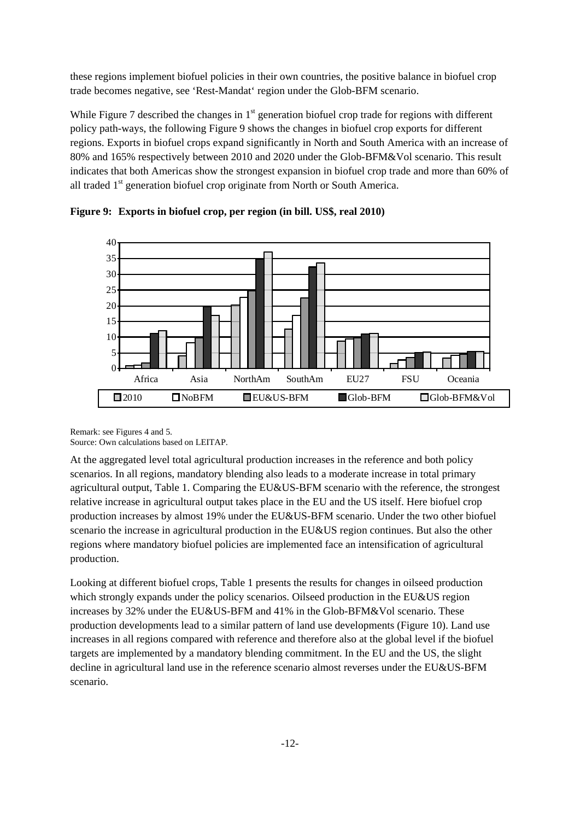these regions implement biofuel policies in their own countries, the positive balance in biofuel crop trade becomes negative, see 'Rest-Mandat' region under the Glob-BFM scenario.

While Figure 7 described the changes in  $1<sup>st</sup>$  generation biofuel crop trade for regions with different policy path-ways, the following Figure 9 shows the changes in biofuel crop exports for different regions. Exports in biofuel crops expand significantly in North and South America with an increase of 80% and 165% respectively between 2010 and 2020 under the Glob-BFM&Vol scenario. This result indicates that both Americas show the strongest expansion in biofuel crop trade and more than 60% of all traded 1<sup>st</sup> generation biofuel crop originate from North or South America.



**Figure 9: Exports in biofuel crop, per region (in bill. US\$, real 2010)** 

Remark: see Figures 4 and 5. Source: Own calculations based on LEITAP.

At the aggregated level total agricultural production increases in the reference and both policy scenarios. In all regions, mandatory blending also leads to a moderate increase in total primary agricultural output, Table 1. Comparing the EU&US-BFM scenario with the reference, the strongest relative increase in agricultural output takes place in the EU and the US itself. Here biofuel crop production increases by almost 19% under the EU&US-BFM scenario. Under the two other biofuel scenario the increase in agricultural production in the EU&US region continues. But also the other regions where mandatory biofuel policies are implemented face an intensification of agricultural production.

Looking at different biofuel crops, Table 1 presents the results for changes in oilseed production which strongly expands under the policy scenarios. Oilseed production in the EU&US region increases by 32% under the EU&US-BFM and 41% in the Glob-BFM&Vol scenario. These production developments lead to a similar pattern of land use developments (Figure 10). Land use increases in all regions compared with reference and therefore also at the global level if the biofuel targets are implemented by a mandatory blending commitment. In the EU and the US, the slight decline in agricultural land use in the reference scenario almost reverses under the EU&US-BFM scenario.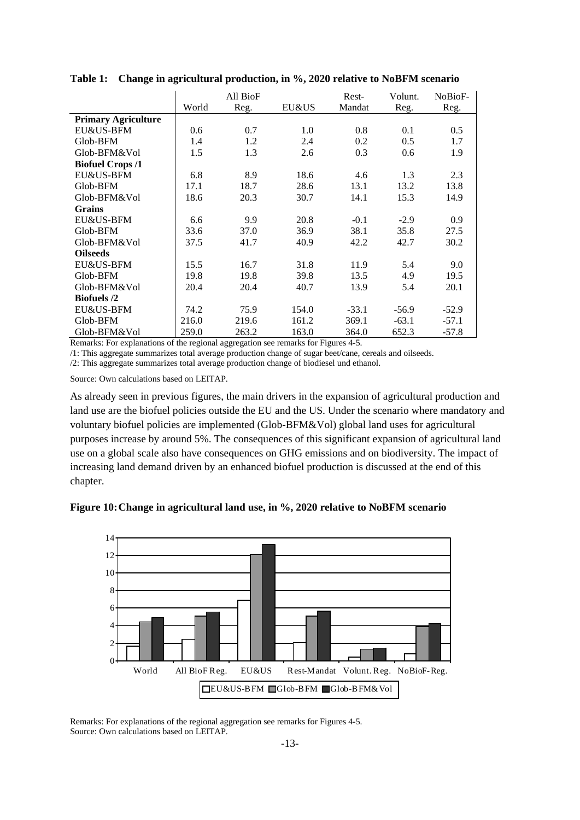|                            |       | All BioF |       | Rest-   | Volunt. | NoBioF- |
|----------------------------|-------|----------|-------|---------|---------|---------|
|                            | World | Reg.     | EU&US | Mandat  | Reg.    | Reg.    |
| <b>Primary Agriculture</b> |       |          |       |         |         |         |
| EU&US-BFM                  | 0.6   | 0.7      | 1.0   | 0.8     | 0.1     | 0.5     |
| Glob-BFM                   | 1.4   | 1.2      | 2.4   | 0.2     | 0.5     | 1.7     |
| Glob-BFM&Vol               | 1.5   | 1.3      | 2.6   | 0.3     | 0.6     | 1.9     |
| <b>Biofuel Crops /1</b>    |       |          |       |         |         |         |
| EU&US-BFM                  | 6.8   | 8.9      | 18.6  | 4.6     | 1.3     | 2.3     |
| Glob-BFM                   | 17.1  | 18.7     | 28.6  | 13.1    | 13.2    | 13.8    |
| Glob-BFM&Vol               | 18.6  | 20.3     | 30.7  | 14.1    | 15.3    | 14.9    |
| <b>Grains</b>              |       |          |       |         |         |         |
| EU&US-BFM                  | 6.6   | 9.9      | 20.8  | $-0.1$  | $-2.9$  | 0.9     |
| Glob-BFM                   | 33.6  | 37.0     | 36.9  | 38.1    | 35.8    | 27.5    |
| Glob-BFM&Vol               | 37.5  | 41.7     | 40.9  | 42.2    | 42.7    | 30.2    |
| <b>Oilseeds</b>            |       |          |       |         |         |         |
| EU&US-BFM                  | 15.5  | 16.7     | 31.8  | 11.9    | 5.4     | 9.0     |
| Glob-BFM                   | 19.8  | 19.8     | 39.8  | 13.5    | 4.9     | 19.5    |
| Glob-BFM&Vol               | 20.4  | 20.4     | 40.7  | 13.9    | 5.4     | 20.1    |
| <b>Biofuels</b> /2         |       |          |       |         |         |         |
| EU&US-BFM                  | 74.2  | 75.9     | 154.0 | $-33.1$ | $-56.9$ | $-52.9$ |
| Glob-BFM                   | 216.0 | 219.6    | 161.2 | 369.1   | $-63.1$ | $-57.1$ |
| Glob-BFM&Vol               | 259.0 | 263.2    | 163.0 | 364.0   | 652.3   | $-57.8$ |

**Table 1: Change in agricultural production, in %, 2020 relative to NoBFM scenario** 

Remarks: For explanations of the regional aggregation see remarks for Figures 4-5.

/1: This aggregate summarizes total average production change of sugar beet/cane, cereals and oilseeds.

/2: This aggregate summarizes total average production change of biodiesel und ethanol.

Source: Own calculations based on LEITAP.

As already seen in previous figures, the main drivers in the expansion of agricultural production and land use are the biofuel policies outside the EU and the US. Under the scenario where mandatory and voluntary biofuel policies are implemented (Glob-BFM&Vol) global land uses for agricultural purposes increase by around 5%. The consequences of this significant expansion of agricultural land use on a global scale also have consequences on GHG emissions and on biodiversity. The impact of increasing land demand driven by an enhanced biofuel production is discussed at the end of this chapter.





Remarks: For explanations of the regional aggregation see remarks for Figures 4-5. Source: Own calculations based on LEITAP.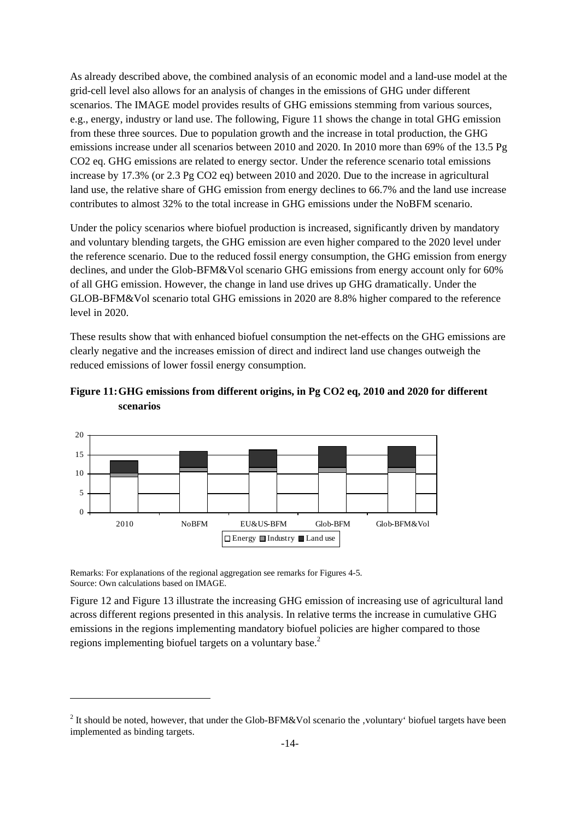As already described above, the combined analysis of an economic model and a land-use model at the grid-cell level also allows for an analysis of changes in the emissions of GHG under different scenarios. The IMAGE model provides results of GHG emissions stemming from various sources, e.g., energy, industry or land use. The following, Figure 11 shows the change in total GHG emission from these three sources. Due to population growth and the increase in total production, the GHG emissions increase under all scenarios between 2010 and 2020. In 2010 more than 69% of the 13.5 Pg CO2 eq. GHG emissions are related to energy sector. Under the reference scenario total emissions increase by 17.3% (or 2.3 Pg CO2 eq) between 2010 and 2020. Due to the increase in agricultural land use, the relative share of GHG emission from energy declines to 66.7% and the land use increase contributes to almost 32% to the total increase in GHG emissions under the NoBFM scenario.

Under the policy scenarios where biofuel production is increased, significantly driven by mandatory and voluntary blending targets, the GHG emission are even higher compared to the 2020 level under the reference scenario. Due to the reduced fossil energy consumption, the GHG emission from energy declines, and under the Glob-BFM&Vol scenario GHG emissions from energy account only for 60% of all GHG emission. However, the change in land use drives up GHG dramatically. Under the GLOB-BFM&Vol scenario total GHG emissions in 2020 are 8.8% higher compared to the reference level in 2020.

These results show that with enhanced biofuel consumption the net-effects on the GHG emissions are clearly negative and the increases emission of direct and indirect land use changes outweigh the reduced emissions of lower fossil energy consumption.





Remarks: For explanations of the regional aggregation see remarks for Figures 4-5. Source: Own calculations based on IMAGE.

1

Figure 12 and Figure 13 illustrate the increasing GHG emission of increasing use of agricultural land across different regions presented in this analysis. In relative terms the increase in cumulative GHG emissions in the regions implementing mandatory biofuel policies are higher compared to those regions implementing biofuel targets on a voluntary base.<sup>2</sup>

<sup>&</sup>lt;sup>2</sup> It should be noted, however, that under the Glob-BFM&Vol scenario the , voluntary' biofuel targets have been implemented as binding targets.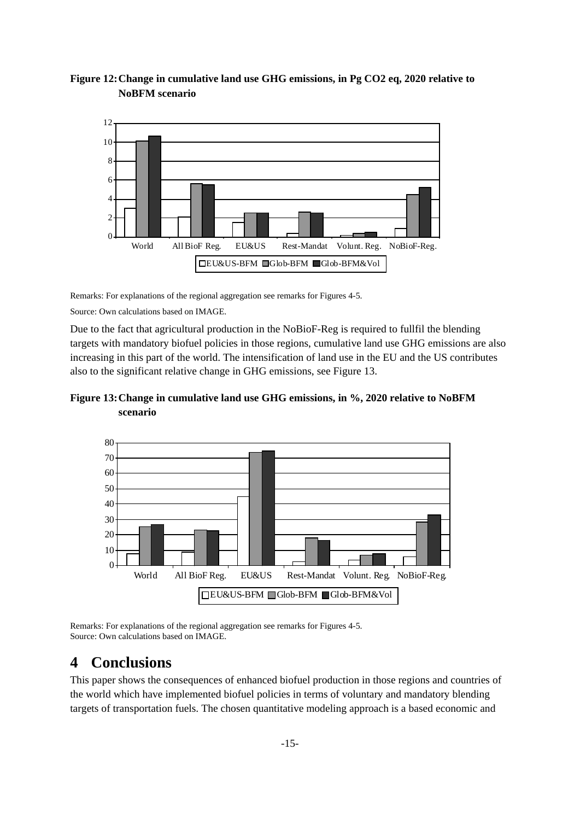#### **Figure 12: Change in cumulative land use GHG emissions, in Pg CO2 eq, 2020 relative to NoBFM scenario**



Remarks: For explanations of the regional aggregation see remarks for Figures 4-5.

Source: Own calculations based on IMAGE.

Due to the fact that agricultural production in the NoBioF-Reg is required to fullfil the blending targets with mandatory biofuel policies in those regions, cumulative land use GHG emissions are also increasing in this part of the world. The intensification of land use in the EU and the US contributes also to the significant relative change in GHG emissions, see Figure 13.

#### **Figure 13: Change in cumulative land use GHG emissions, in %, 2020 relative to NoBFM scenario**



Remarks: For explanations of the regional aggregation see remarks for Figures 4-5. Source: Own calculations based on IMAGE.

## **4 Conclusions**

This paper shows the consequences of enhanced biofuel production in those regions and countries of the world which have implemented biofuel policies in terms of voluntary and mandatory blending targets of transportation fuels. The chosen quantitative modeling approach is a based economic and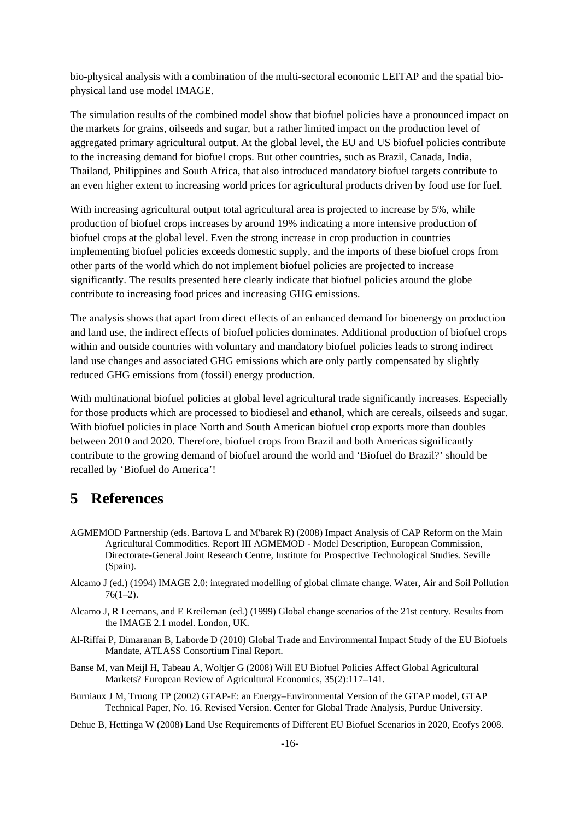bio-physical analysis with a combination of the multi-sectoral economic LEITAP and the spatial biophysical land use model IMAGE.

The simulation results of the combined model show that biofuel policies have a pronounced impact on the markets for grains, oilseeds and sugar, but a rather limited impact on the production level of aggregated primary agricultural output. At the global level, the EU and US biofuel policies contribute to the increasing demand for biofuel crops. But other countries, such as Brazil, Canada, India, Thailand, Philippines and South Africa, that also introduced mandatory biofuel targets contribute to an even higher extent to increasing world prices for agricultural products driven by food use for fuel.

With increasing agricultural output total agricultural area is projected to increase by 5%, while production of biofuel crops increases by around 19% indicating a more intensive production of biofuel crops at the global level. Even the strong increase in crop production in countries implementing biofuel policies exceeds domestic supply, and the imports of these biofuel crops from other parts of the world which do not implement biofuel policies are projected to increase significantly. The results presented here clearly indicate that biofuel policies around the globe contribute to increasing food prices and increasing GHG emissions.

The analysis shows that apart from direct effects of an enhanced demand for bioenergy on production and land use, the indirect effects of biofuel policies dominates. Additional production of biofuel crops within and outside countries with voluntary and mandatory biofuel policies leads to strong indirect land use changes and associated GHG emissions which are only partly compensated by slightly reduced GHG emissions from (fossil) energy production.

With multinational biofuel policies at global level agricultural trade significantly increases. Especially for those products which are processed to biodiesel and ethanol, which are cereals, oilseeds and sugar. With biofuel policies in place North and South American biofuel crop exports more than doubles between 2010 and 2020. Therefore, biofuel crops from Brazil and both Americas significantly contribute to the growing demand of biofuel around the world and 'Biofuel do Brazil?' should be recalled by 'Biofuel do America'!

## **5 References**

- AGMEMOD Partnership (eds. Bartova L and M'barek R) (2008) Impact Analysis of CAP Reform on the Main Agricultural Commodities. Report III AGMEMOD - Model Description, European Commission, Directorate-General Joint Research Centre, Institute for Prospective Technological Studies. Seville (Spain).
- Alcamo J (ed.) (1994) IMAGE 2.0: integrated modelling of global climate change. Water, Air and Soil Pollution  $76(1-2)$ .
- Alcamo J, R Leemans, and E Kreileman (ed.) (1999) Global change scenarios of the 21st century. Results from the IMAGE 2.1 model. London, UK.
- Al-Riffai P, Dimaranan B, Laborde D (2010) Global Trade and Environmental Impact Study of the EU Biofuels Mandate, ATLASS Consortium Final Report.
- Banse M, van Meijl H, Tabeau A, Woltjer G (2008) Will EU Biofuel Policies Affect Global Agricultural Markets? European Review of Agricultural Economics, 35(2):117–141.
- Burniaux J M, Truong TP (2002) GTAP-E: an Energy–Environmental Version of the GTAP model, GTAP Technical Paper, No. 16. Revised Version. Center for Global Trade Analysis, Purdue University.
- Dehue B, Hettinga W (2008) Land Use Requirements of Different EU Biofuel Scenarios in 2020, Ecofys 2008.